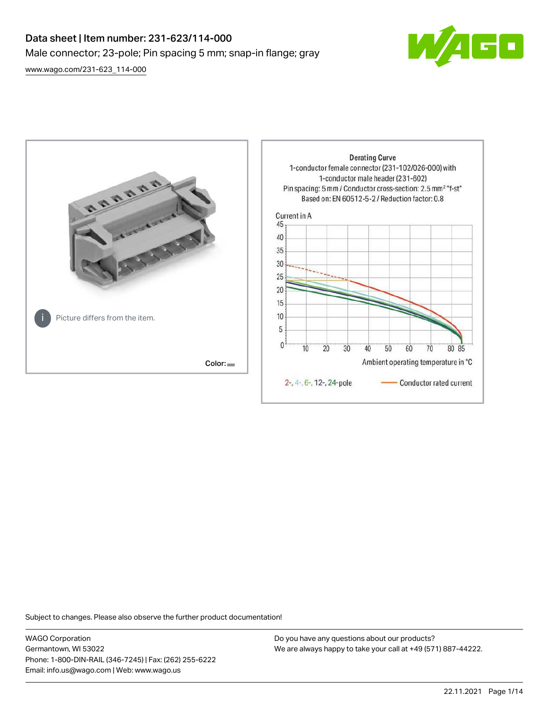# Data sheet | Item number: 231-623/114-000 Male connector; 23-pole; Pin spacing 5 mm; snap-in flange; gray

 $\boxed{\blacksquare}$ 

[www.wago.com/231-623\\_114-000](http://www.wago.com/231-623_114-000)



Subject to changes. Please also observe the further product documentation!

WAGO Corporation Germantown, WI 53022 Phone: 1-800-DIN-RAIL (346-7245) | Fax: (262) 255-6222 Email: info.us@wago.com | Web: www.wago.us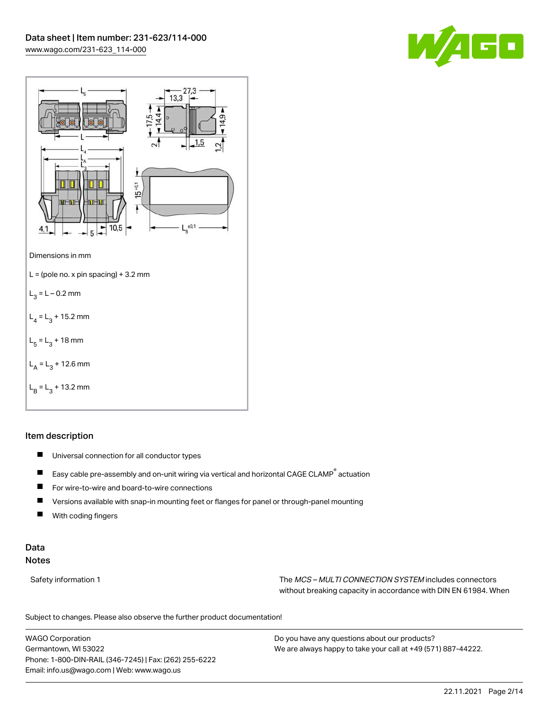



# Item description

- $\blacksquare$ Universal connection for all conductor types
- $\blacksquare$ Easy cable pre-assembly and on-unit wiring via vertical and horizontal CAGE CLAMP® actuation
- $\blacksquare$ For wire-to-wire and board-to-wire connections
- $\blacksquare$ Versions available with snap-in mounting feet or flanges for panel or through-panel mounting
- П With coding fingers

# Data Notes

Safety information 1 The MCS – MULTI CONNECTION SYSTEM includes connectors without breaking capacity in accordance with DIN EN 61984. When

Subject to changes. Please also observe the further product documentation!  $\mathbf{u}$ 

WAGO Corporation Germantown, WI 53022 Phone: 1-800-DIN-RAIL (346-7245) | Fax: (262) 255-6222 Email: info.us@wago.com | Web: www.wago.us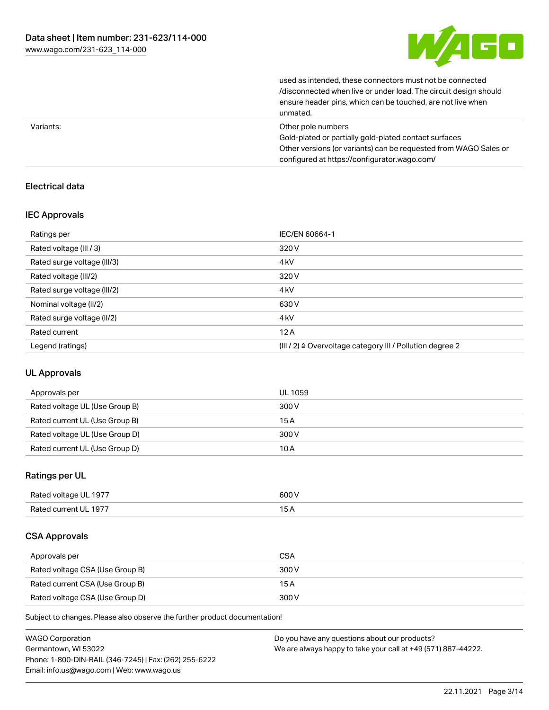

| unmated.                                                         |
|------------------------------------------------------------------|
| ensure header pins, which can be touched, are not live when      |
| /disconnected when live or under load. The circuit design should |
| used as intended, these connectors must not be connected         |

| Variants: | Other pole numbers                                               |
|-----------|------------------------------------------------------------------|
|           | Gold-plated or partially gold-plated contact surfaces            |
|           | Other versions (or variants) can be requested from WAGO Sales or |
|           | configured at https://configurator.wago.com/                     |

# Electrical data

# IEC Approvals

| Ratings per                 | IEC/EN 60664-1                                                       |
|-----------------------------|----------------------------------------------------------------------|
| Rated voltage (III / 3)     | 320 V                                                                |
| Rated surge voltage (III/3) | 4 <sub>kV</sub>                                                      |
| Rated voltage (III/2)       | 320 V                                                                |
| Rated surge voltage (III/2) | 4 <sub>k</sub> V                                                     |
| Nominal voltage (II/2)      | 630 V                                                                |
| Rated surge voltage (II/2)  | 4 <sub>k</sub> V                                                     |
| Rated current               | 12A                                                                  |
| Legend (ratings)            | (III / 2) $\triangleq$ Overvoltage category III / Pollution degree 2 |

# UL Approvals

| Approvals per                  | UL 1059 |
|--------------------------------|---------|
| Rated voltage UL (Use Group B) | 300 V   |
| Rated current UL (Use Group B) | 15 A    |
| Rated voltage UL (Use Group D) | 300 V   |
| Rated current UL (Use Group D) | 10 A    |

# Ratings per UL

| Rated voltage UL 1977 | 600 V |
|-----------------------|-------|
| Rated current UL 1977 |       |

# CSA Approvals

| Approvals per                   | <b>CSA</b> |
|---------------------------------|------------|
| Rated voltage CSA (Use Group B) | 300 V      |
| Rated current CSA (Use Group B) | 15 A       |
| Rated voltage CSA (Use Group D) | 300 V      |

Subject to changes. Please also observe the further product documentation!

| <b>WAGO Corporation</b>                                | Do you have any questions about our products?                 |
|--------------------------------------------------------|---------------------------------------------------------------|
| Germantown, WI 53022                                   | We are always happy to take your call at +49 (571) 887-44222. |
| Phone: 1-800-DIN-RAIL (346-7245)   Fax: (262) 255-6222 |                                                               |
| Email: info.us@wago.com   Web: www.wago.us             |                                                               |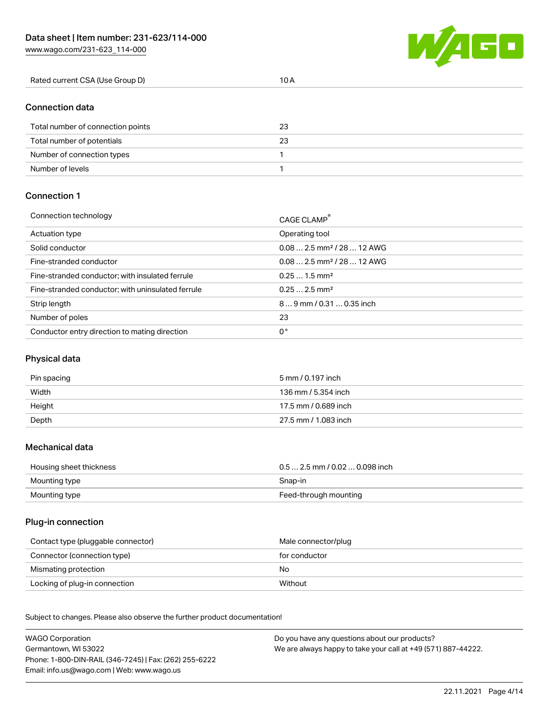[www.wago.com/231-623\\_114-000](http://www.wago.com/231-623_114-000)



| Rated current CSA (Use Group D) |  |
|---------------------------------|--|
|                                 |  |

# Connection data

| Total number of connection points | 23 |
|-----------------------------------|----|
| Total number of potentials        | 23 |
| Number of connection types        |    |
| Number of levels                  |    |

# Connection 1

| Connection technology                             | CAGE CLAMP                              |
|---------------------------------------------------|-----------------------------------------|
| Actuation type                                    | Operating tool                          |
| Solid conductor                                   | $0.08$ 2.5 mm <sup>2</sup> / 28  12 AWG |
| Fine-stranded conductor                           | $0.08$ 2.5 mm <sup>2</sup> / 28  12 AWG |
| Fine-stranded conductor; with insulated ferrule   | $0.251.5$ mm <sup>2</sup>               |
| Fine-stranded conductor; with uninsulated ferrule | $0.252.5$ mm <sup>2</sup>               |
| Strip length                                      | 89 mm / 0.31  0.35 inch                 |
| Number of poles                                   | 23                                      |
| Conductor entry direction to mating direction     | 0°                                      |

# Physical data

| Pin spacing | 5 mm / 0.197 inch    |
|-------------|----------------------|
| Width       | 136 mm / 5.354 inch  |
| Height      | 17.5 mm / 0.689 inch |
| Depth       | 27.5 mm / 1.083 inch |

# Mechanical data

| Housing sheet thickness | $0.5$ 2.5 mm / 0.02  0.098 inch |
|-------------------------|---------------------------------|
| Mounting type           | Snap-in                         |
| Mounting type           | Feed-through mounting           |

# Plug-in connection

| Contact type (pluggable connector) | Male connector/plug |
|------------------------------------|---------------------|
| Connector (connection type)        | for conductor       |
| Mismating protection               | No                  |
| Locking of plug-in connection      | Without             |

Subject to changes. Please also observe the further product documentation! Material data

| <b>WAGO Corporation</b>                                | Do you have any questions about our products?                 |
|--------------------------------------------------------|---------------------------------------------------------------|
| Germantown, WI 53022                                   | We are always happy to take your call at +49 (571) 887-44222. |
| Phone: 1-800-DIN-RAIL (346-7245)   Fax: (262) 255-6222 |                                                               |
| Email: info.us@wago.com   Web: www.wago.us             |                                                               |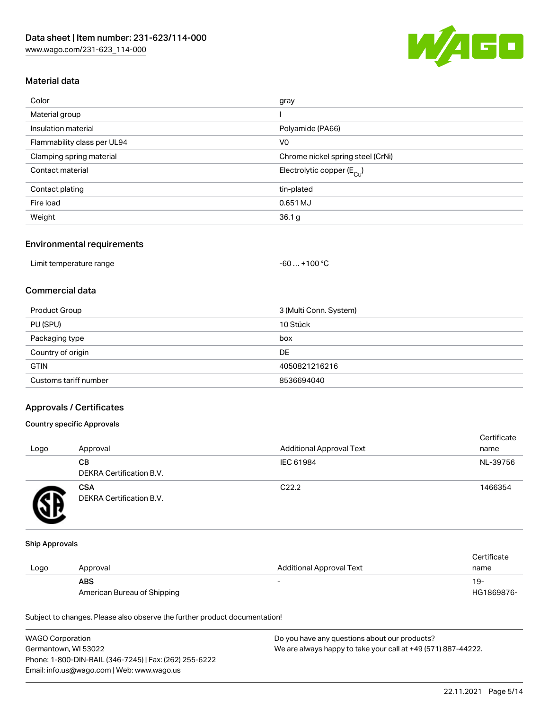

# Material data

| Color                       | gray                                   |
|-----------------------------|----------------------------------------|
| Material group              |                                        |
| Insulation material         | Polyamide (PA66)                       |
| Flammability class per UL94 | V <sub>0</sub>                         |
| Clamping spring material    | Chrome nickel spring steel (CrNi)      |
| Contact material            | Electrolytic copper (E <sub>Cu</sub> ) |
| Contact plating             | tin-plated                             |
| Fire load                   | 0.651 MJ                               |
| Weight                      | 36.1 <sub>g</sub>                      |
|                             |                                        |

#### Environmental requirements

| Limit temperature range | . +100 °C<br>$-60$ |
|-------------------------|--------------------|
|-------------------------|--------------------|

# Commercial data

| Product Group         | 3 (Multi Conn. System) |
|-----------------------|------------------------|
| PU (SPU)              | 10 Stück               |
| Packaging type        | box                    |
| Country of origin     | DE                     |
| <b>GTIN</b>           | 4050821216216          |
| Customs tariff number | 8536694040             |

# Approvals / Certificates

## Country specific Approvals

| Logo | Approval                               | <b>Additional Approval Text</b> | Certificate<br>name |
|------|----------------------------------------|---------------------------------|---------------------|
|      | CВ<br><b>DEKRA Certification B.V.</b>  | IEC 61984                       | NL-39756            |
|      | <b>CSA</b><br>DEKRA Certification B.V. | C <sub>22.2</sub>               | 1466354             |

#### Ship Approvals

|      |                             |                                 | Certificate |
|------|-----------------------------|---------------------------------|-------------|
| Logo | Approval                    | <b>Additional Approval Text</b> | name        |
|      | <b>ABS</b>                  | -                               | $19-$       |
|      | American Bureau of Shipping |                                 | HG1869876-  |

Subject to changes. Please also observe the further product documentation!

| <b>WAGO Corporation</b>                                | Do you have any questions about our products?                 |
|--------------------------------------------------------|---------------------------------------------------------------|
| Germantown, WI 53022                                   | We are always happy to take your call at +49 (571) 887-44222. |
| Phone: 1-800-DIN-RAIL (346-7245)   Fax: (262) 255-6222 |                                                               |
| Email: info.us@wago.com   Web: www.wago.us             |                                                               |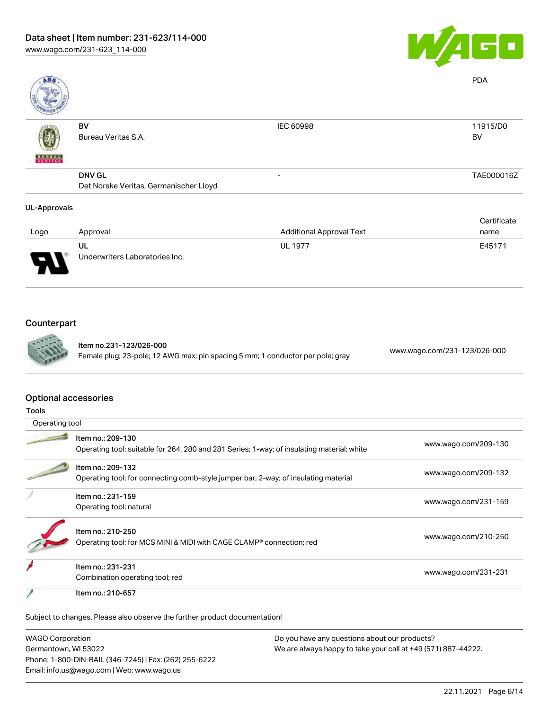

| ABS                 |                                        |                                 | <b>PDA</b>  |
|---------------------|----------------------------------------|---------------------------------|-------------|
|                     | BV                                     | <b>IEC 60998</b>                | 11915/D0    |
| <b>BUREAU</b>       | Bureau Veritas S.A.                    |                                 | <b>BV</b>   |
|                     | <b>DNV GL</b>                          | -                               | TAE000016Z  |
|                     | Det Norske Veritas, Germanischer Lloyd |                                 |             |
| <b>UL-Approvals</b> |                                        |                                 |             |
|                     |                                        |                                 | Certificate |
| Logo                | Approval                               | <b>Additional Approval Text</b> | name        |

| Logo                          | Approval                             | <b>Additional Approval Text</b> | name   |
|-------------------------------|--------------------------------------|---------------------------------|--------|
| J<br>$\overline{\phantom{a}}$ | UL<br>Underwriters Laboratories Inc. | <b>UL 1977</b>                  | E45171 |

# Counterpart



Item no.231-123/026-000 Female plug; 23-pole; 12 AWG max; pin spacing 5 mm; 1 conductor per pole; gray [www.wago.com/231-123/026-000](https://www.wago.com/231-123/026-000)

#### Optional accessories

| ۰.<br>v<br>×<br>×<br>×<br>۰. |
|------------------------------|
|------------------------------|

| Operating tool |                                                                                                                 |                      |
|----------------|-----------------------------------------------------------------------------------------------------------------|----------------------|
|                | Item no.: 209-130<br>Operating tool; suitable for 264, 280 and 281 Series; 1-way; of insulating material; white | www.wago.com/209-130 |
|                | Item no.: 209-132<br>Operating tool; for connecting comb-style jumper bar; 2-way; of insulating material        | www.wago.com/209-132 |
|                | Item no.: 231-159<br>Operating tool; natural                                                                    | www.wago.com/231-159 |
|                | Item no.: 210-250<br>Operating tool; for MCS MINI & MIDI with CAGE CLAMP <sup>®</sup> connection; red           | www.wago.com/210-250 |
|                | Item no.: 231-231<br>Combination operating tool; red                                                            | www.wago.com/231-231 |
|                | Item no.: 210-657                                                                                               |                      |

Subject to changes. Please also observe the further product documentation!

WAGO Corporation Germantown, WI 53022 Phone: 1-800-DIN-RAIL (346-7245) | Fax: (262) 255-6222 Email: info.us@wago.com | Web: www.wago.us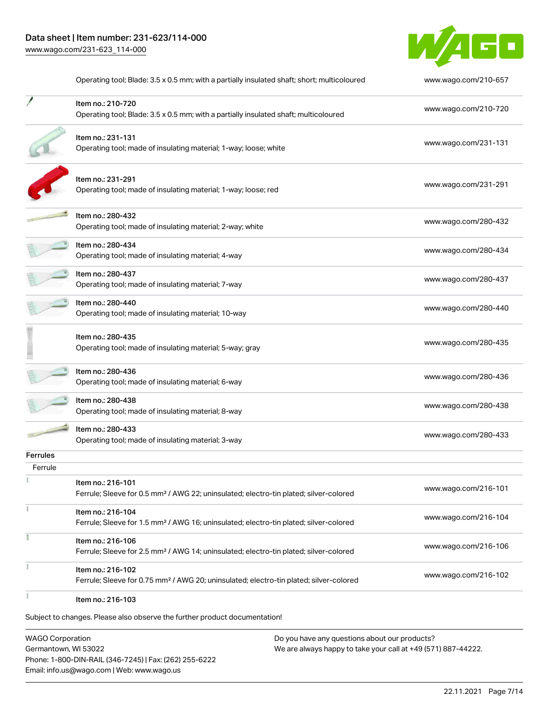

|                 | Operating tool; Blade: 3.5 x 0.5 mm; with a partially insulated shaft; short; multicoloured                             | www.wago.com/210-657 |
|-----------------|-------------------------------------------------------------------------------------------------------------------------|----------------------|
|                 | Item no.: 210-720<br>Operating tool; Blade: 3.5 x 0.5 mm; with a partially insulated shaft; multicoloured               | www.wago.com/210-720 |
|                 | Item no.: 231-131<br>Operating tool; made of insulating material; 1-way; loose; white                                   | www.wago.com/231-131 |
|                 | Item no.: 231-291<br>Operating tool; made of insulating material; 1-way; loose; red                                     | www.wago.com/231-291 |
|                 | Item no.: 280-432<br>Operating tool; made of insulating material; 2-way; white                                          | www.wago.com/280-432 |
|                 | Item no.: 280-434<br>Operating tool; made of insulating material; 4-way                                                 | www.wago.com/280-434 |
|                 | Item no.: 280-437<br>Operating tool; made of insulating material; 7-way                                                 | www.wago.com/280-437 |
|                 | Item no.: 280-440<br>Operating tool; made of insulating material; 10-way                                                | www.wago.com/280-440 |
|                 | Item no.: 280-435<br>Operating tool; made of insulating material; 5-way; gray                                           | www.wago.com/280-435 |
|                 | Item no.: 280-436<br>Operating tool; made of insulating material; 6-way                                                 | www.wago.com/280-436 |
|                 | Item no.: 280-438<br>Operating tool; made of insulating material; 8-way                                                 | www.wago.com/280-438 |
|                 | Item no.: 280-433<br>Operating tool; made of insulating material; 3-way                                                 | www.wago.com/280-433 |
| <b>Ferrules</b> |                                                                                                                         |                      |
| Ferrule         | Item no.: 216-101<br>Ferrule; Sleeve for 0.5 mm <sup>2</sup> / AWG 22; uninsulated; electro-tin plated; silver-colored  | www.wago.com/216-101 |
|                 | Item no.: 216-104<br>Ferrule; Sleeve for 1.5 mm <sup>2</sup> / AWG 16; uninsulated; electro-tin plated; silver-colored  | www.wago.com/216-104 |
|                 | Item no.: 216-106<br>Ferrule; Sleeve for 2.5 mm <sup>2</sup> / AWG 14; uninsulated; electro-tin plated; silver-colored  | www.wago.com/216-106 |
|                 | Item no.: 216-102<br>Ferrule; Sleeve for 0.75 mm <sup>2</sup> / AWG 20; uninsulated; electro-tin plated; silver-colored | www.wago.com/216-102 |
|                 | Item no.: 216-103                                                                                                       |                      |

WAGO Corporation Germantown, WI 53022 Phone: 1-800-DIN-RAIL (346-7245) | Fax: (262) 255-6222 Email: info.us@wago.com | Web: www.wago.us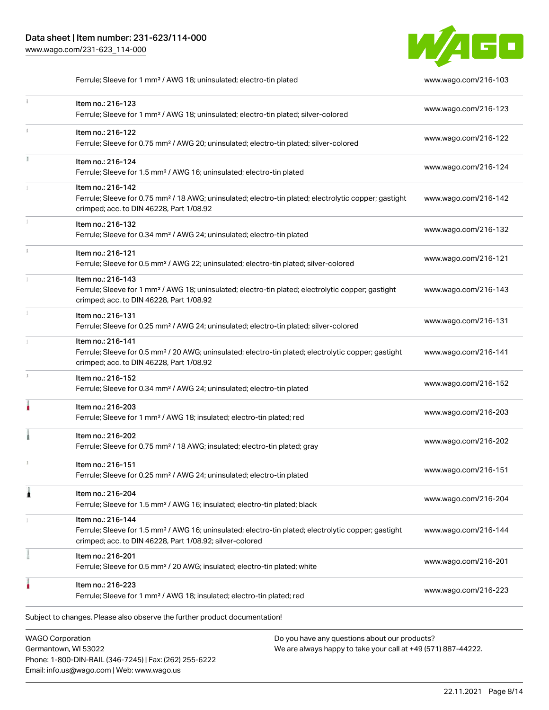Phone: 1-800-DIN-RAIL (346-7245) | Fax: (262) 255-6222

Email: info.us@wago.com | Web: www.wago.us



Ferrule; Sleeve for 1 mm<sup>2</sup> / AWG 18; uninsulated; electro-tin plated [www.wago.com/216-103](http://www.wago.com/216-103)

|   | Item no.: 216-123<br>Ferrule; Sleeve for 1 mm <sup>2</sup> / AWG 18; uninsulated; electro-tin plated; silver-colored                                                                              | www.wago.com/216-123                                                                                           |
|---|---------------------------------------------------------------------------------------------------------------------------------------------------------------------------------------------------|----------------------------------------------------------------------------------------------------------------|
|   | Item no.: 216-122<br>Ferrule; Sleeve for 0.75 mm <sup>2</sup> / AWG 20; uninsulated; electro-tin plated; silver-colored                                                                           | www.wago.com/216-122                                                                                           |
|   | Item no.: 216-124<br>Ferrule; Sleeve for 1.5 mm <sup>2</sup> / AWG 16; uninsulated; electro-tin plated                                                                                            | www.wago.com/216-124                                                                                           |
|   | Item no.: 216-142<br>Ferrule; Sleeve for 0.75 mm <sup>2</sup> / 18 AWG; uninsulated; electro-tin plated; electrolytic copper; gastight<br>crimped; acc. to DIN 46228, Part 1/08.92                | www.wago.com/216-142                                                                                           |
|   | Item no.: 216-132<br>Ferrule; Sleeve for 0.34 mm <sup>2</sup> / AWG 24; uninsulated; electro-tin plated                                                                                           | www.wago.com/216-132                                                                                           |
|   | Item no.: 216-121<br>Ferrule; Sleeve for 0.5 mm <sup>2</sup> / AWG 22; uninsulated; electro-tin plated; silver-colored                                                                            | www.wago.com/216-121                                                                                           |
|   | Item no.: 216-143<br>Ferrule; Sleeve for 1 mm <sup>2</sup> / AWG 18; uninsulated; electro-tin plated; electrolytic copper; gastight<br>crimped; acc. to DIN 46228, Part 1/08.92                   | www.wago.com/216-143                                                                                           |
|   | Item no.: 216-131<br>Ferrule; Sleeve for 0.25 mm <sup>2</sup> / AWG 24; uninsulated; electro-tin plated; silver-colored                                                                           | www.wago.com/216-131                                                                                           |
|   | Item no.: 216-141<br>Ferrule; Sleeve for 0.5 mm <sup>2</sup> / 20 AWG; uninsulated; electro-tin plated; electrolytic copper; gastight<br>crimped; acc. to DIN 46228, Part 1/08.92                 | www.wago.com/216-141                                                                                           |
|   | Item no.: 216-152<br>Ferrule; Sleeve for 0.34 mm <sup>2</sup> / AWG 24; uninsulated; electro-tin plated                                                                                           | www.wago.com/216-152                                                                                           |
|   | Item no.: 216-203<br>Ferrule; Sleeve for 1 mm <sup>2</sup> / AWG 18; insulated; electro-tin plated; red                                                                                           | www.wago.com/216-203                                                                                           |
|   | Item no.: 216-202<br>Ferrule; Sleeve for 0.75 mm <sup>2</sup> / 18 AWG; insulated; electro-tin plated; gray                                                                                       | www.wago.com/216-202                                                                                           |
|   | Item no.: 216-151<br>Ferrule; Sleeve for 0.25 mm <sup>2</sup> / AWG 24; uninsulated; electro-tin plated                                                                                           | www.wago.com/216-151                                                                                           |
| 1 | Item no.: 216-204<br>Ferrule; Sleeve for 1.5 mm <sup>2</sup> / AWG 16; insulated; electro-tin plated; black                                                                                       | www.wago.com/216-204                                                                                           |
|   | Item no.: 216-144<br>Ferrule; Sleeve for 1.5 mm <sup>2</sup> / AWG 16; uninsulated; electro-tin plated; electrolytic copper; gastight<br>crimped; acc. to DIN 46228, Part 1/08.92; silver-colored | www.wago.com/216-144                                                                                           |
|   | Item no.: 216-201<br>Ferrule; Sleeve for 0.5 mm <sup>2</sup> / 20 AWG; insulated; electro-tin plated; white                                                                                       | www.wago.com/216-201                                                                                           |
|   | Item no.: 216-223<br>Ferrule; Sleeve for 1 mm <sup>2</sup> / AWG 18; insulated; electro-tin plated; red                                                                                           | www.wago.com/216-223                                                                                           |
|   | Subject to changes. Please also observe the further product documentation!                                                                                                                        |                                                                                                                |
|   | <b>WAGO Corporation</b><br>Germantown, WI 53022                                                                                                                                                   | Do you have any questions about our products?<br>We are always happy to take your call at +49 (571) 887-44222. |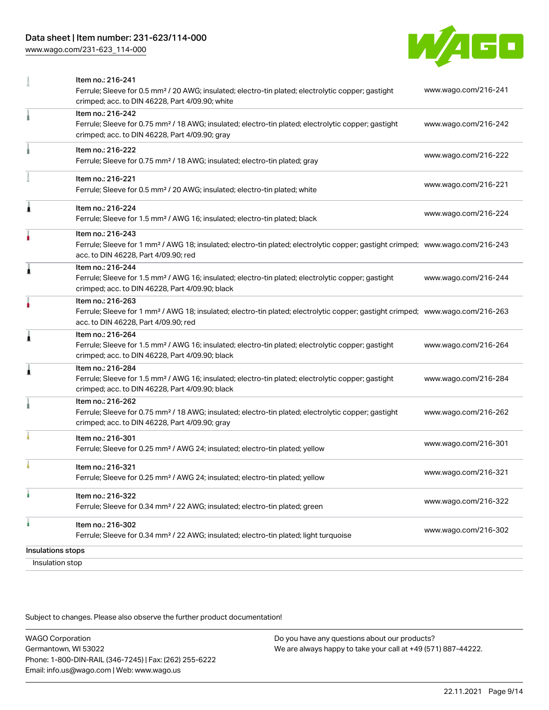# Data sheet | Item number: 231-623/114-000

[www.wago.com/231-623\\_114-000](http://www.wago.com/231-623_114-000)



|                                      | Item no.: 216-241<br>Ferrule; Sleeve for 0.5 mm <sup>2</sup> / 20 AWG; insulated; electro-tin plated; electrolytic copper; gastight<br>crimped; acc. to DIN 46228, Part 4/09.90; white                  | www.wago.com/216-241 |
|--------------------------------------|---------------------------------------------------------------------------------------------------------------------------------------------------------------------------------------------------------|----------------------|
|                                      | Item no.: 216-242<br>Ferrule; Sleeve for 0.75 mm <sup>2</sup> / 18 AWG; insulated; electro-tin plated; electrolytic copper; gastight<br>crimped; acc. to DIN 46228, Part 4/09.90; gray                  | www.wago.com/216-242 |
|                                      | Item no.: 216-222<br>Ferrule; Sleeve for 0.75 mm <sup>2</sup> / 18 AWG; insulated; electro-tin plated; gray                                                                                             | www.wago.com/216-222 |
|                                      | Item no.: 216-221<br>Ferrule; Sleeve for 0.5 mm <sup>2</sup> / 20 AWG; insulated; electro-tin plated; white                                                                                             | www.wago.com/216-221 |
| Â                                    | Item no.: 216-224<br>Ferrule; Sleeve for 1.5 mm <sup>2</sup> / AWG 16; insulated; electro-tin plated; black                                                                                             | www.wago.com/216-224 |
|                                      | Item no.: 216-243<br>Ferrule; Sleeve for 1 mm <sup>2</sup> / AWG 18; insulated; electro-tin plated; electrolytic copper; gastight crimped; www.wago.com/216-243<br>acc. to DIN 46228, Part 4/09.90; red |                      |
| 1                                    | Item no.: 216-244<br>Ferrule; Sleeve for 1.5 mm <sup>2</sup> / AWG 16; insulated; electro-tin plated; electrolytic copper; gastight<br>crimped; acc. to DIN 46228, Part 4/09.90; black                  | www.wago.com/216-244 |
|                                      | Item no.: 216-263<br>Ferrule; Sleeve for 1 mm <sup>2</sup> / AWG 18; insulated; electro-tin plated; electrolytic copper; gastight crimped; www.wago.com/216-263<br>acc. to DIN 46228, Part 4/09.90; red |                      |
| Â                                    | Item no.: 216-264<br>Ferrule; Sleeve for 1.5 mm <sup>2</sup> / AWG 16; insulated; electro-tin plated; electrolytic copper; gastight<br>crimped; acc. to DIN 46228, Part 4/09.90; black                  | www.wago.com/216-264 |
| Â                                    | Item no.: 216-284<br>Ferrule; Sleeve for 1.5 mm <sup>2</sup> / AWG 16; insulated; electro-tin plated; electrolytic copper; gastight<br>crimped; acc. to DIN 46228, Part 4/09.90; black                  | www.wago.com/216-284 |
|                                      | Item no.: 216-262<br>Ferrule; Sleeve for 0.75 mm <sup>2</sup> / 18 AWG; insulated; electro-tin plated; electrolytic copper; gastight<br>crimped; acc. to DIN 46228, Part 4/09.90; gray                  | www.wago.com/216-262 |
|                                      | Item no.: 216-301<br>Ferrule; Sleeve for 0.25 mm <sup>2</sup> / AWG 24; insulated; electro-tin plated; yellow                                                                                           | www.wago.com/216-301 |
|                                      | Item no.: 216-321<br>Ferrule; Sleeve for 0.25 mm <sup>2</sup> / AWG 24; insulated; electro-tin plated; yellow                                                                                           | www.wago.com/216-321 |
|                                      | Item no.: 216-322<br>Ferrule; Sleeve for 0.34 mm <sup>2</sup> / 22 AWG; insulated; electro-tin plated; green                                                                                            | www.wago.com/216-322 |
| ۸                                    | Item no.: 216-302<br>Ferrule; Sleeve for 0.34 mm <sup>2</sup> / 22 AWG; insulated; electro-tin plated; light turquoise                                                                                  | www.wago.com/216-302 |
| Insulations stops<br>Insulation stop |                                                                                                                                                                                                         |                      |

Subject to changes. Please also observe the further product documentation!

WAGO Corporation Germantown, WI 53022 Phone: 1-800-DIN-RAIL (346-7245) | Fax: (262) 255-6222 Email: info.us@wago.com | Web: www.wago.us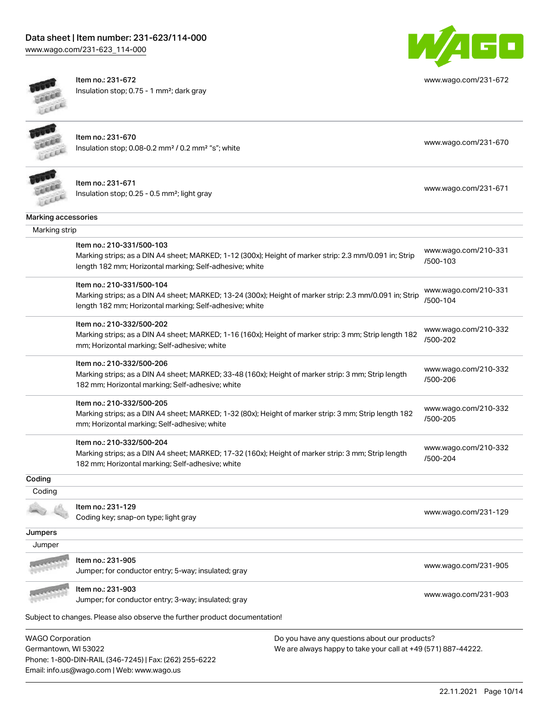# Data sheet | Item number: 231-623/114-000

[www.wago.com/231-623\\_114-000](http://www.wago.com/231-623_114-000)



Item no.: 231-672 Insulation stop; 0.75 - 1 mm²; dark gray



[www.wago.com/231-672](http://www.wago.com/231-672)

|  | e. |  |
|--|----|--|

Item no.: 231-670 Insulation stop; 0.08-0.2 mm² / 0.2 mm² "s"; white [www.wago.com/231-670](http://www.wago.com/231-670) www.wago.com/231-670



Item no.: 231-671 Insulation stop; 0.25 - 0.5 mm²; light gray [www.wago.com/231-671](http://www.wago.com/231-671)

| Marking accessories |                                                                                                                                                                                                 |                                  |
|---------------------|-------------------------------------------------------------------------------------------------------------------------------------------------------------------------------------------------|----------------------------------|
| Marking strip       |                                                                                                                                                                                                 |                                  |
|                     | Item no.: 210-331/500-103<br>Marking strips; as a DIN A4 sheet; MARKED; 1-12 (300x); Height of marker strip: 2.3 mm/0.091 in; Strip<br>length 182 mm; Horizontal marking; Self-adhesive; white  | www.wago.com/210-331<br>/500-103 |
|                     | Item no.: 210-331/500-104<br>Marking strips; as a DIN A4 sheet; MARKED; 13-24 (300x); Height of marker strip: 2.3 mm/0.091 in; Strip<br>length 182 mm; Horizontal marking; Self-adhesive; white | www.wago.com/210-331<br>/500-104 |
|                     | Item no.: 210-332/500-202<br>Marking strips; as a DIN A4 sheet; MARKED; 1-16 (160x); Height of marker strip: 3 mm; Strip length 182<br>mm; Horizontal marking; Self-adhesive; white             | www.wago.com/210-332<br>/500-202 |
|                     | Item no.: 210-332/500-206<br>Marking strips; as a DIN A4 sheet; MARKED; 33-48 (160x); Height of marker strip: 3 mm; Strip length<br>182 mm; Horizontal marking; Self-adhesive; white            | www.wago.com/210-332<br>/500-206 |
|                     | Item no.: 210-332/500-205<br>Marking strips; as a DIN A4 sheet; MARKED; 1-32 (80x); Height of marker strip: 3 mm; Strip length 182<br>mm; Horizontal marking; Self-adhesive; white              | www.wago.com/210-332<br>/500-205 |
|                     | Item no.: 210-332/500-204<br>Marking strips; as a DIN A4 sheet; MARKED; 17-32 (160x); Height of marker strip: 3 mm; Strip length<br>182 mm; Horizontal marking; Self-adhesive; white            | www.wago.com/210-332<br>/500-204 |
| Coding              |                                                                                                                                                                                                 |                                  |
| Coding              |                                                                                                                                                                                                 |                                  |
|                     | Item no.: 231-129<br>Coding key; snap-on type; light gray                                                                                                                                       | www.wago.com/231-129             |
| Jumpers             |                                                                                                                                                                                                 |                                  |
| Jumper              |                                                                                                                                                                                                 |                                  |
|                     | Item no.: 231-905<br>Jumper; for conductor entry; 5-way; insulated; gray                                                                                                                        | www.wago.com/231-905             |
|                     | Item no.: 231-903<br>Jumper; for conductor entry; 3-way; insulated; gray                                                                                                                        | www.wago.com/231-903             |

Subject to changes. Please also observe the further product documentation!

WAGO Corporation Germantown, WI 53022 Phone: 1-800-DIN-RAIL (346-7245) | Fax: (262) 255-6222 Email: info.us@wago.com | Web: www.wago.us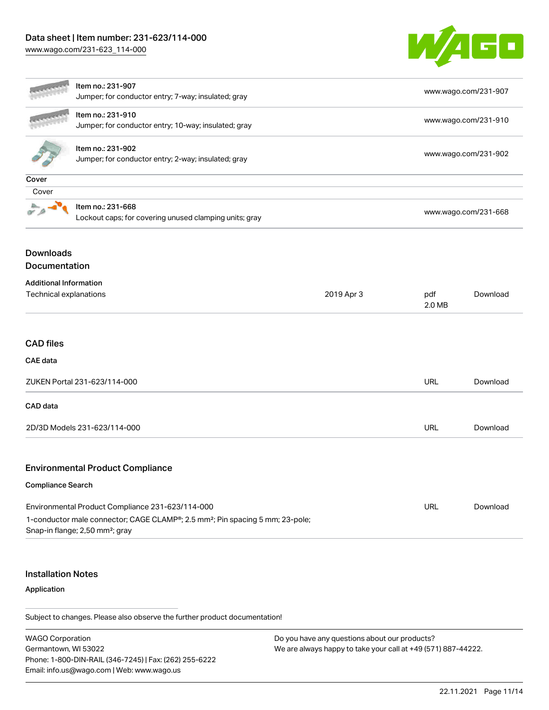# Data sheet | Item number: 231-623/114-000

[www.wago.com/231-623\\_114-000](http://www.wago.com/231-623_114-000)



|                                                                       | Item no.: 231-907<br>Jumper; for conductor entry; 7-way; insulated; gray                                                                                                                     |     |               | www.wago.com/231-907 |  |
|-----------------------------------------------------------------------|----------------------------------------------------------------------------------------------------------------------------------------------------------------------------------------------|-----|---------------|----------------------|--|
|                                                                       | Item no.: 231-910<br>Jumper; for conductor entry; 10-way; insulated; gray                                                                                                                    |     |               | www.wago.com/231-910 |  |
|                                                                       | Item no.: 231-902<br>Jumper; for conductor entry; 2-way; insulated; gray                                                                                                                     |     |               | www.wago.com/231-902 |  |
| Cover                                                                 |                                                                                                                                                                                              |     |               |                      |  |
| Cover                                                                 |                                                                                                                                                                                              |     |               |                      |  |
|                                                                       | Item no.: 231-668<br>Lockout caps; for covering unused clamping units; gray                                                                                                                  |     |               | www.wago.com/231-668 |  |
| <b>Downloads</b>                                                      |                                                                                                                                                                                              |     |               |                      |  |
| Documentation                                                         |                                                                                                                                                                                              |     |               |                      |  |
| <b>Additional Information</b><br>Technical explanations<br>2019 Apr 3 |                                                                                                                                                                                              |     | pdf<br>2.0 MB | Download             |  |
| <b>CAD files</b>                                                      |                                                                                                                                                                                              |     |               |                      |  |
| <b>CAE</b> data                                                       |                                                                                                                                                                                              |     |               |                      |  |
| ZUKEN Portal 231-623/114-000                                          |                                                                                                                                                                                              | URL | Download      |                      |  |
| CAD data                                                              |                                                                                                                                                                                              |     |               |                      |  |
| 2D/3D Models 231-623/114-000                                          |                                                                                                                                                                                              |     | <b>URL</b>    | Download             |  |
|                                                                       | <b>Environmental Product Compliance</b>                                                                                                                                                      |     |               |                      |  |
| <b>Compliance Search</b>                                              |                                                                                                                                                                                              |     |               |                      |  |
|                                                                       | Environmental Product Compliance 231-623/114-000<br>1-conductor male connector; CAGE CLAMP®; 2.5 mm <sup>2</sup> ; Pin spacing 5 mm; 23-pole;<br>Snap-in flange; 2,50 mm <sup>2</sup> ; gray |     | <b>URL</b>    | Download             |  |

# Installation Notes

Application

Subject to changes. Please also observe the further product documentation!

WAGO Corporation Germantown, WI 53022 Phone: 1-800-DIN-RAIL (346-7245) | Fax: (262) 255-6222 Email: info.us@wago.com | Web: www.wago.us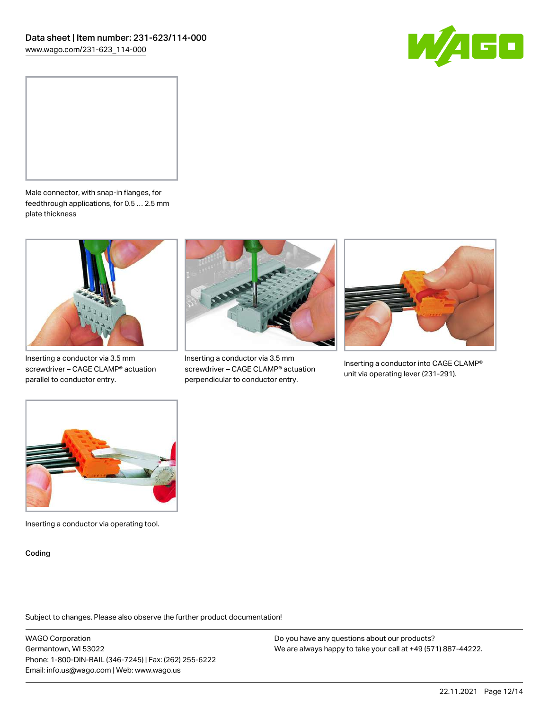



Male connector, with snap-in flanges, for feedthrough applications, for 0.5 … 2.5 mm plate thickness



Inserting a conductor via 3.5 mm screwdriver – CAGE CLAMP® actuation parallel to conductor entry.



Inserting a conductor via 3.5 mm screwdriver – CAGE CLAMP® actuation perpendicular to conductor entry.



Inserting a conductor into CAGE CLAMP® unit via operating lever (231-291).



Inserting a conductor via operating tool.

Coding

Subject to changes. Please also observe the further product documentation!

WAGO Corporation Germantown, WI 53022 Phone: 1-800-DIN-RAIL (346-7245) | Fax: (262) 255-6222 Email: info.us@wago.com | Web: www.wago.us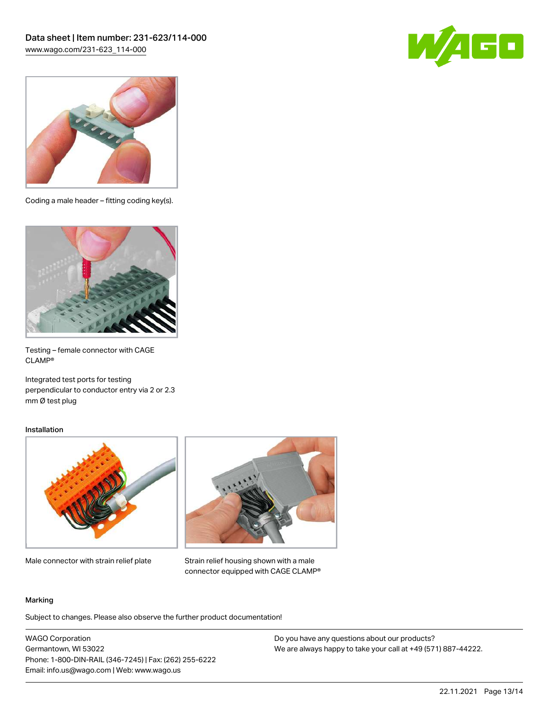



Coding a male header – fitting coding key(s).



Testing – female connector with CAGE CLAMP®

Integrated test ports for testing perpendicular to conductor entry via 2 or 2.3 mm Ø test plug

#### Installation



Male connector with strain relief plate



Strain relief housing shown with a male connector equipped with CAGE CLAMP®

#### Marking

Subject to changes. Please also observe the further product documentation!

WAGO Corporation Germantown, WI 53022 Phone: 1-800-DIN-RAIL (346-7245) | Fax: (262) 255-6222 Email: info.us@wago.com | Web: www.wago.us